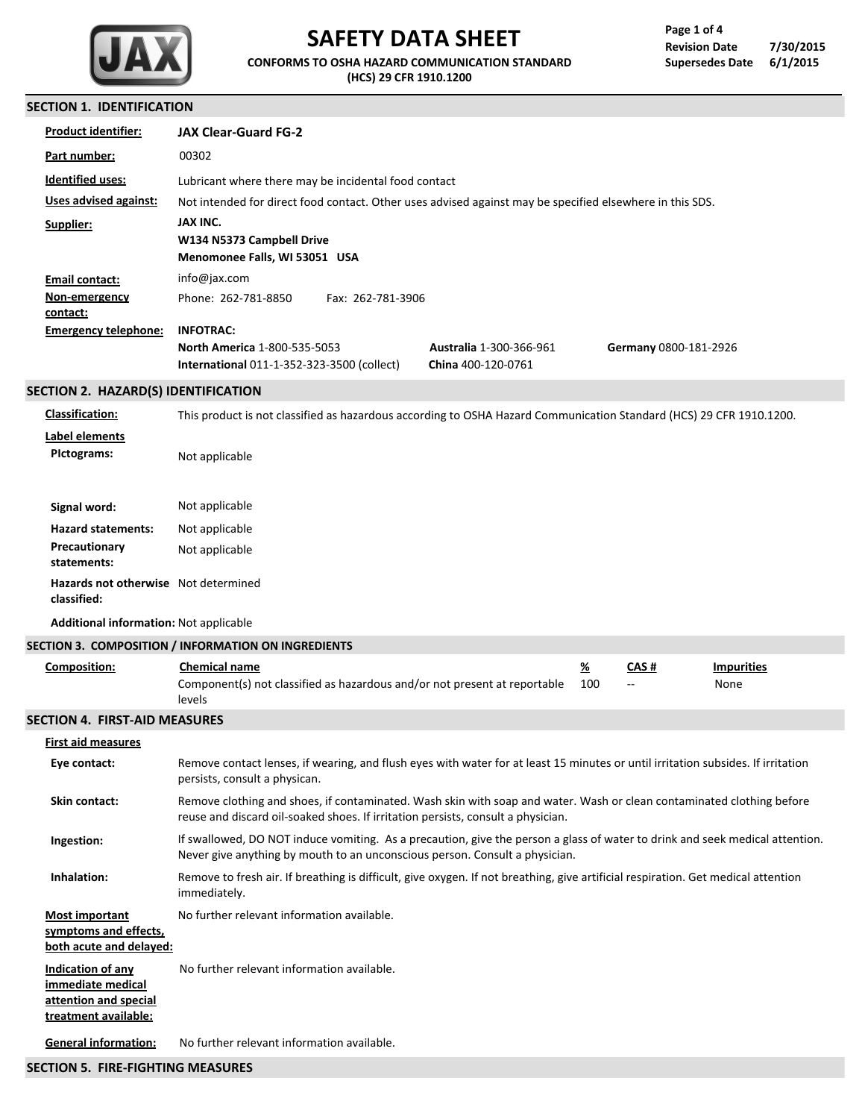

# **SAFETY DATA SHEET**

**CONFORMS TO OSHA HAZARD COMMUNICATION STANDARD (HCS) 29 CFR 1910.1200**

## **SECTION 1. IDENTIFICATION**

| SECHUN I. IDENHFICAHUN                              |                                                                                                                                                                                                             |                                                      |                 |                       |                           |
|-----------------------------------------------------|-------------------------------------------------------------------------------------------------------------------------------------------------------------------------------------------------------------|------------------------------------------------------|-----------------|-----------------------|---------------------------|
| <b>Product identifier:</b>                          | <b>JAX Clear-Guard FG-2</b>                                                                                                                                                                                 |                                                      |                 |                       |                           |
| Part number:                                        | 00302                                                                                                                                                                                                       |                                                      |                 |                       |                           |
| <b>Identified uses:</b>                             | Lubricant where there may be incidental food contact                                                                                                                                                        |                                                      |                 |                       |                           |
| Uses advised against:                               | Not intended for direct food contact. Other uses advised against may be specified elsewhere in this SDS.                                                                                                    |                                                      |                 |                       |                           |
| Supplier:                                           | JAX INC.<br>W134 N5373 Campbell Drive<br>Menomonee Falls, WI 53051 USA                                                                                                                                      |                                                      |                 |                       |                           |
| <b>Email contact:</b>                               | info@jax.com                                                                                                                                                                                                |                                                      |                 |                       |                           |
| Non-emergency<br><u>contact:</u>                    | Phone: 262-781-8850<br>Fax: 262-781-3906                                                                                                                                                                    |                                                      |                 |                       |                           |
| <b>Emergency telephone:</b>                         | <b>INFOTRAC:</b><br><b>North America 1-800-535-5053</b><br><b>International 011-1-352-323-3500 (collect)</b>                                                                                                | <b>Australia 1-300-366-961</b><br>China 400-120-0761 |                 | Germany 0800-181-2926 |                           |
| SECTION 2. HAZARD(S) IDENTIFICATION                 |                                                                                                                                                                                                             |                                                      |                 |                       |                           |
| <b>Classification:</b>                              | This product is not classified as hazardous according to OSHA Hazard Communication Standard (HCS) 29 CFR 1910.1200.                                                                                         |                                                      |                 |                       |                           |
| <b>Label elements</b><br>Pictograms:                | Not applicable                                                                                                                                                                                              |                                                      |                 |                       |                           |
| Signal word:                                        | Not applicable                                                                                                                                                                                              |                                                      |                 |                       |                           |
| <b>Hazard statements:</b>                           | Not applicable                                                                                                                                                                                              |                                                      |                 |                       |                           |
| Precautionary<br>statements:                        | Not applicable                                                                                                                                                                                              |                                                      |                 |                       |                           |
| Hazards not otherwise Not determined<br>classified: |                                                                                                                                                                                                             |                                                      |                 |                       |                           |
| <b>Additional information: Not applicable</b>       |                                                                                                                                                                                                             |                                                      |                 |                       |                           |
|                                                     | SECTION 3. COMPOSITION / INFORMATION ON INGREDIENTS                                                                                                                                                         |                                                      |                 |                       |                           |
| <b>Composition:</b>                                 | <b>Chemical name</b><br>Component(s) not classified as hazardous and/or not present at reportable<br>levels                                                                                                 |                                                      | <u>%</u><br>100 | <u>CAS #</u>          | <b>Impurities</b><br>None |
| <b>SECTION 4. FIRST-AID MEASURES</b>                |                                                                                                                                                                                                             |                                                      |                 |                       |                           |
| <b>First aid measures</b>                           |                                                                                                                                                                                                             |                                                      |                 |                       |                           |
| Eye contact:                                        | Remove contact lenses, if wearing, and flush eyes with water for at least 15 minutes or until irritation subsides. If irritation<br>persists, consult a physican.                                           |                                                      |                 |                       |                           |
| Skin contact:                                       | Remove clothing and shoes, if contaminated. Wash skin with soap and water. Wash or clean contaminated clothing before<br>reuse and discard oil-soaked shoes. If irritation persists, consult a physician.   |                                                      |                 |                       |                           |
| Ingestion:                                          | If swallowed, DO NOT induce vomiting. As a precaution, give the person a glass of water to drink and seek medical attention.<br>Never give anything by mouth to an unconscious person. Consult a physician. |                                                      |                 |                       |                           |
| Inhalation:                                         | Remove to fresh air. If breathing is difficult, give oxygen. If not breathing, give artificial respiration. Get medical attention<br>immediately.                                                           |                                                      |                 |                       |                           |
| <b>Most important</b><br>symptoms and effects,      | No further relevant information available.                                                                                                                                                                  |                                                      |                 |                       |                           |

**both acute and delayed: Indication of any immediate medical attention and special** No further relevant information available.

**treatment available:**

No further relevant information available. **General information:**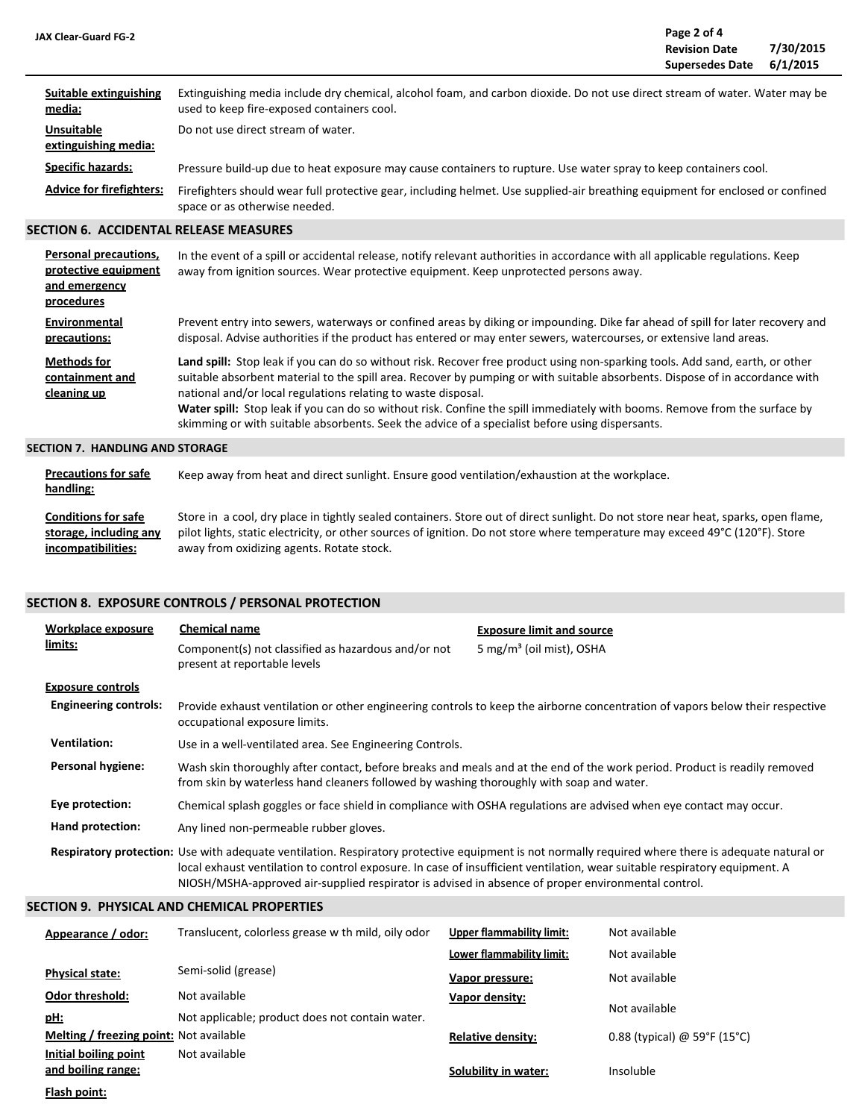| <b>JAX Clear-Guard FG-2</b>               |                                                                                                                                                                           | Page 2 of 4<br><b>Revision Date</b><br><b>Supersedes Date</b> | 7/30/2015<br>6/1/2015 |
|-------------------------------------------|---------------------------------------------------------------------------------------------------------------------------------------------------------------------------|---------------------------------------------------------------|-----------------------|
| Suitable extinguishing<br>media:          | Extinguishing media include dry chemical, alcohol foam, and carbon dioxide. Do not use direct stream of water. Water may be<br>used to keep fire-exposed containers cool. |                                                               |                       |
| <b>Unsuitable</b><br>extinguishing media: | Do not use direct stream of water.                                                                                                                                        |                                                               |                       |
| <b>Specific hazards:</b>                  | Pressure build-up due to heat exposure may cause containers to rupture. Use water spray to keep containers cool.                                                          |                                                               |                       |
| <b>Advice for firefighters:</b>           | Firefighters should wear full protective gear, including helmet. Use supplied-air breathing equipment for enclosed or confined<br>space or as otherwise needed.           |                                                               |                       |

#### **SECTION 6. ACCIDENTAL RELEASE MEASURES**

| Personal precautions,<br>protective equipment<br>and emergency<br>procedures | In the event of a spill or accidental release, notify relevant authorities in accordance with all applicable regulations. Keep<br>away from ignition sources. Wear protective equipment. Keep unprotected persons away.                                                                                                                                                                                                                                                                                                                                         |
|------------------------------------------------------------------------------|-----------------------------------------------------------------------------------------------------------------------------------------------------------------------------------------------------------------------------------------------------------------------------------------------------------------------------------------------------------------------------------------------------------------------------------------------------------------------------------------------------------------------------------------------------------------|
| Environmental<br>precautions:                                                | Prevent entry into sewers, waterways or confined areas by diking or impounding. Dike far ahead of spill for later recovery and<br>disposal. Advise authorities if the product has entered or may enter sewers, watercourses, or extensive land areas.                                                                                                                                                                                                                                                                                                           |
| <b>Methods for</b><br>containment and<br>cleaning up                         | Land spill: Stop leak if you can do so without risk. Recover free product using non-sparking tools. Add sand, earth, or other<br>suitable absorbent material to the spill area. Recover by pumping or with suitable absorbents. Dispose of in accordance with<br>national and/or local regulations relating to waste disposal.<br>Water spill: Stop leak if you can do so without risk. Confine the spill immediately with booms. Remove from the surface by<br>skimming or with suitable absorbents. Seek the advice of a specialist before using dispersants. |
| SECTION 7.  HANDLING AND STORAGE                                             |                                                                                                                                                                                                                                                                                                                                                                                                                                                                                                                                                                 |

| <b>Precautions for safe</b><br>handling: | Keep away from heat and direct sunlight. Ensure good ventilation/exhaustion at the workplace.                                      |
|------------------------------------------|------------------------------------------------------------------------------------------------------------------------------------|
| <b>Conditions for safe</b>               | Store in a cool, dry place in tightly sealed containers. Store out of direct sunlight. Do not store near heat, sparks, open flame, |
| storage, including any                   | pilot lights, static electricity, or other sources of ignition. Do not store where temperature may exceed 49°C (120°F). Store      |
| incompatibilities:                       | away from oxidizing agents. Rotate stock.                                                                                          |

### **SECTION 8. EXPOSURE CONTROLS / PERSONAL PROTECTION**

| Workplace exposure<br>limits:                | <b>Chemical name</b><br>Component(s) not classified as hazardous and/or not<br>present at reportable levels                                                                                                           | <b>Exposure limit and source</b><br>5 mg/m <sup>3</sup> (oil mist), OSHA                                                                                                                                                                                                          |  |  |  |
|----------------------------------------------|-----------------------------------------------------------------------------------------------------------------------------------------------------------------------------------------------------------------------|-----------------------------------------------------------------------------------------------------------------------------------------------------------------------------------------------------------------------------------------------------------------------------------|--|--|--|
| <b>Exposure controls</b>                     |                                                                                                                                                                                                                       |                                                                                                                                                                                                                                                                                   |  |  |  |
| <b>Engineering controls:</b>                 | occupational exposure limits.                                                                                                                                                                                         | Provide exhaust ventilation or other engineering controls to keep the airborne concentration of vapors below their respective                                                                                                                                                     |  |  |  |
| <b>Ventilation:</b>                          | Use in a well-ventilated area. See Engineering Controls.                                                                                                                                                              |                                                                                                                                                                                                                                                                                   |  |  |  |
| <b>Personal hygiene:</b>                     | Wash skin thoroughly after contact, before breaks and meals and at the end of the work period. Product is readily removed<br>from skin by waterless hand cleaners followed by washing thoroughly with soap and water. |                                                                                                                                                                                                                                                                                   |  |  |  |
| Eye protection:                              | Chemical splash goggles or face shield in compliance with OSHA regulations are advised when eye contact may occur.                                                                                                    |                                                                                                                                                                                                                                                                                   |  |  |  |
| Hand protection:                             | Any lined non-permeable rubber gloves.                                                                                                                                                                                |                                                                                                                                                                                                                                                                                   |  |  |  |
|                                              | NIOSH/MSHA-approved air-supplied respirator is advised in absence of proper environmental control.                                                                                                                    | Respiratory protection: Use with adequate ventilation. Respiratory protective equipment is not normally required where there is adequate natural or<br>local exhaust ventilation to control exposure. In case of insufficient ventilation, wear suitable respiratory equipment. A |  |  |  |
| SECTION 9.  PHYSICAL AND CHEMICAL PROPERTIES |                                                                                                                                                                                                                       |                                                                                                                                                                                                                                                                                   |  |  |  |

| Appearance / odor:                      | Translucent, colorless grease with mild, oily odor | <b>Upper flammability limit:</b> | Not available                |
|-----------------------------------------|----------------------------------------------------|----------------------------------|------------------------------|
|                                         |                                                    | Lower flammability limit:        | Not available                |
| <b>Physical state:</b>                  | Semi-solid (grease)                                | Vapor pressure:                  | Not available                |
| <b>Odor threshold:</b>                  | Not available                                      | Vapor density:                   |                              |
| <u>pH:</u>                              | Not applicable; product does not contain water.    |                                  | Not available                |
| Melting / freezing point: Not available |                                                    | <b>Relative density:</b>         | 0.88 (typical) @ 59°F (15°C) |
| Initial boiling point                   | Not available                                      |                                  |                              |
| and boiling range:                      |                                                    | Solubility in water:             | Insoluble                    |
| Flash point:                            |                                                    |                                  |                              |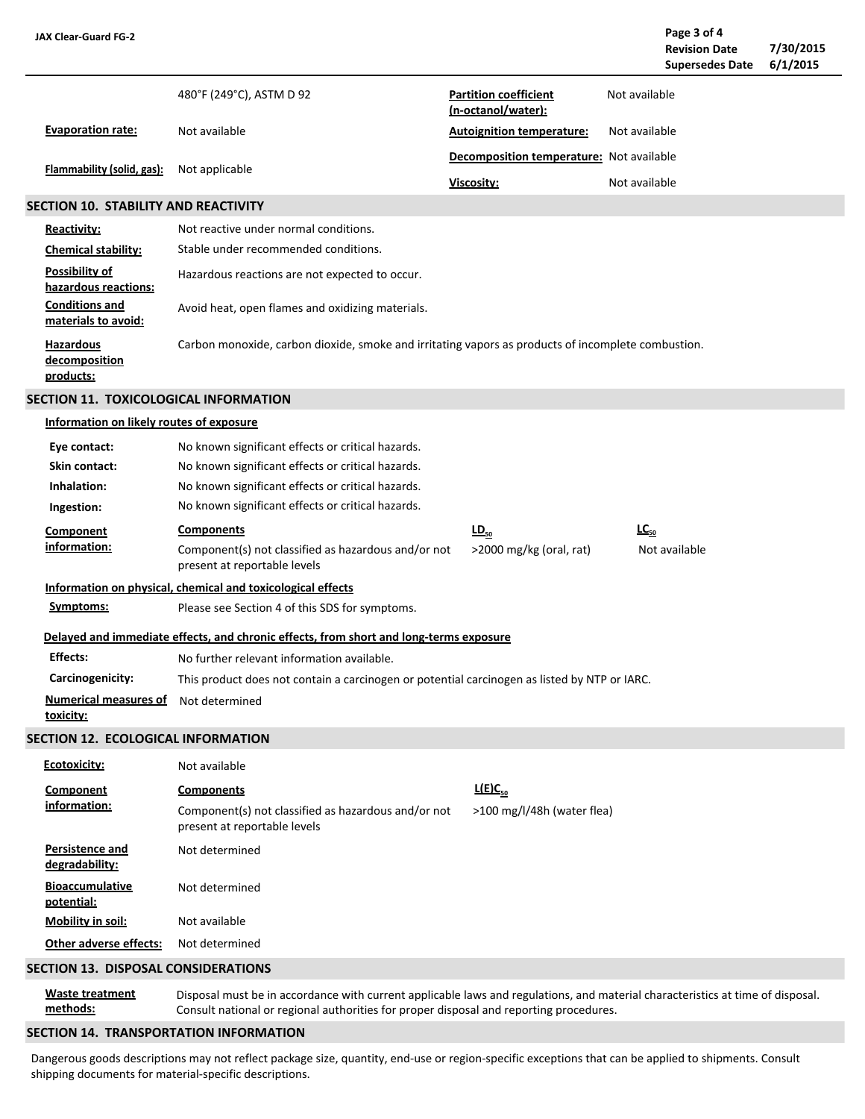| <b>JAX Clear-Guard FG-2</b>                      |                                                                                                                                                                                                                          |                                                           |               | Page 3 of 4<br><b>Revision Date</b><br><b>Supersedes Date</b> | 7/30/2015<br>6/1/2015 |
|--------------------------------------------------|--------------------------------------------------------------------------------------------------------------------------------------------------------------------------------------------------------------------------|-----------------------------------------------------------|---------------|---------------------------------------------------------------|-----------------------|
|                                                  | 480°F (249°C), ASTM D 92                                                                                                                                                                                                 | <b>Partition coefficient</b><br>(n-octanol/water):        | Not available |                                                               |                       |
| <b>Evaporation rate:</b>                         | Not available                                                                                                                                                                                                            | <b>Autoignition temperature:</b>                          | Not available |                                                               |                       |
| Flammability (solid, gas):                       | Not applicable                                                                                                                                                                                                           | <b>Decomposition temperature:</b> Not available           |               |                                                               |                       |
|                                                  |                                                                                                                                                                                                                          | Viscosity:                                                | Not available |                                                               |                       |
| <b>SECTION 10. STABILITY AND REACTIVITY</b>      |                                                                                                                                                                                                                          |                                                           |               |                                                               |                       |
| <b>Reactivity:</b>                               | Not reactive under normal conditions.                                                                                                                                                                                    |                                                           |               |                                                               |                       |
| <b>Chemical stability:</b>                       | Stable under recommended conditions.                                                                                                                                                                                     |                                                           |               |                                                               |                       |
| Possibility of<br>hazardous reactions:           | Hazardous reactions are not expected to occur.                                                                                                                                                                           |                                                           |               |                                                               |                       |
| <b>Conditions and</b><br>materials to avoid:     | Avoid heat, open flames and oxidizing materials.                                                                                                                                                                         |                                                           |               |                                                               |                       |
| <b>Hazardous</b><br>decomposition<br>products:   | Carbon monoxide, carbon dioxide, smoke and irritating vapors as products of incomplete combustion.                                                                                                                       |                                                           |               |                                                               |                       |
| <b>SECTION 11. TOXICOLOGICAL INFORMATION</b>     |                                                                                                                                                                                                                          |                                                           |               |                                                               |                       |
| Information on likely routes of exposure         |                                                                                                                                                                                                                          |                                                           |               |                                                               |                       |
| Eye contact:                                     | No known significant effects or critical hazards.                                                                                                                                                                        |                                                           |               |                                                               |                       |
| <b>Skin contact:</b>                             | No known significant effects or critical hazards.                                                                                                                                                                        |                                                           |               |                                                               |                       |
| Inhalation:                                      | No known significant effects or critical hazards.                                                                                                                                                                        |                                                           |               |                                                               |                       |
| Ingestion:                                       | No known significant effects or critical hazards.                                                                                                                                                                        |                                                           |               |                                                               |                       |
| <b>Component</b><br>information:                 | <b>Components</b><br>Component(s) not classified as hazardous and/or not<br>present at reportable levels                                                                                                                 | $\underline{\mathsf{LD}}_{50}$<br>>2000 mg/kg (oral, rat) | $LC_{50}$     | Not available                                                 |                       |
|                                                  | Information on physical, chemical and toxicological effects                                                                                                                                                              |                                                           |               |                                                               |                       |
| Symptoms:                                        | Please see Section 4 of this SDS for symptoms.                                                                                                                                                                           |                                                           |               |                                                               |                       |
|                                                  | Delayed and immediate effects, and chronic effects, from short and long-terms exposure                                                                                                                                   |                                                           |               |                                                               |                       |
| <b>Effects:</b>                                  | No further relevant information available.                                                                                                                                                                               |                                                           |               |                                                               |                       |
| Carcinogenicity:                                 | This product does not contain a carcinogen or potential carcinogen as listed by NTP or IARC.                                                                                                                             |                                                           |               |                                                               |                       |
| <b>Numerical measures of</b><br><u>toxicity:</u> | Not determined                                                                                                                                                                                                           |                                                           |               |                                                               |                       |
| SECTION 12. ECOLOGICAL INFORMATION               |                                                                                                                                                                                                                          |                                                           |               |                                                               |                       |
| Ecotoxicity:                                     | Not available                                                                                                                                                                                                            |                                                           |               |                                                               |                       |
| Component                                        | <b>Components</b>                                                                                                                                                                                                        | $L(E)C_{50}$                                              |               |                                                               |                       |
| information:                                     | Component(s) not classified as hazardous and/or not<br>present at reportable levels                                                                                                                                      | >100 mg/l/48h (water flea)                                |               |                                                               |                       |
| Persistence and<br>degradability:                | Not determined                                                                                                                                                                                                           |                                                           |               |                                                               |                       |
| <b>Bioaccumulative</b><br>potential:             | Not determined                                                                                                                                                                                                           |                                                           |               |                                                               |                       |
| Mobility in soil:                                | Not available                                                                                                                                                                                                            |                                                           |               |                                                               |                       |
| Other adverse effects:                           | Not determined                                                                                                                                                                                                           |                                                           |               |                                                               |                       |
| <b>SECTION 13. DISPOSAL CONSIDERATIONS</b>       |                                                                                                                                                                                                                          |                                                           |               |                                                               |                       |
| <b>Waste treatment</b><br>methods:               | Disposal must be in accordance with current applicable laws and regulations, and material characteristics at time of disposal.<br>Consult national or regional authorities for proper disposal and reporting procedures. |                                                           |               |                                                               |                       |
|                                                  |                                                                                                                                                                                                                          |                                                           |               |                                                               |                       |

#### **SECTION 14. TRANSPORTATION INFORMATION**

Dangerous goods descriptions may not reflect package size, quantity, end-use or region-specific exceptions that can be applied to shipments. Consult shipping documents for material-specific descriptions.